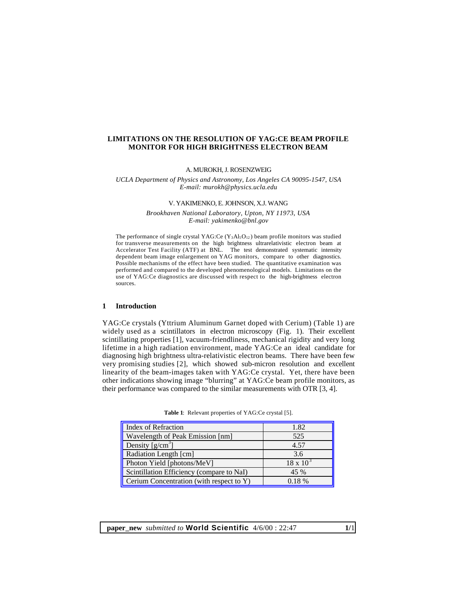# **LIMITATIONS ON THE RESOLUTION OF YAG:CE BEAM PROFILE MONITOR FOR HIGH BRIGHTNESS ELECTRON BEAM**

A. MUROKH, J. ROSENZWEIG

*UCLA Department of Physics and Astronomy, Los Angeles CA 90095-1547, USA E-mail: murokh@physics.ucla.edu*

#### V. YAKIMENKO, E. JOHNSON, X.J. WANG

*Brookhaven National Laboratory, Upton, NY 11973, USA E-mail: yakimenko@bnl.gov*

The performance of single crystal YAG:Ce  $(Y_3A_1S_0_{12})$  beam profile monitors was studied for transverse measurements on the high brightness ultrarelativistic electron beam at Accelerator Test Facility (ATF) at BNL. The test demonstrated systematic intensity dependent beam image enlargement on YAG monitors, compare to other diagnostics. Possible mechanisms of the effect have been studied. The quantitative examination was performed and compared to the developed phenomenological models. Limitations on the use of YAG:Ce diagnostics are discussed with respect to the high-brightness electron sources.

# **1 Introduction**

YAG:Ce crystals (Yttrium Aluminum Garnet doped with Cerium) (Table 1) are widely used as a scintillators in electron microscopy (Fig. 1). Their excellent scintillating properties [1], vacuum-friendliness, mechanical rigidity and very long lifetime in a high radiation environment, made YAG:Ce an ideal candidate for diagnosing high brightness ultra-relativistic electron beams. There have been few very promising studies [2], which showed sub-micron resolution and excellent linearity of the beam-images taken with YAG:Ce crystal. Yet, there have been other indications showing image "blurring" at YAG:Ce beam profile monitors, as their performance was compared to the similar measurements with OTR [3, 4].

| Index of Refraction                       | 1.82    |
|-------------------------------------------|---------|
| Wavelength of Peak Emission [nm]          | 525     |
| Density $[g/cm^3]$                        | 4.57    |
| Radiation Length [cm]                     | 3.6     |
| Photon Yield [photons/MeV]                | 18 x 10 |
| Scintillation Efficiency (compare to NaI) | 45 %    |
| Cerium Concentration (with respect to Y)  | 0.18%   |

**Table 1**: Relevant properties of YAG:Ce crystal [5].

**paper\_new** *submitted to* **World Scientific** 4/6/00 : 22:47 **1/**1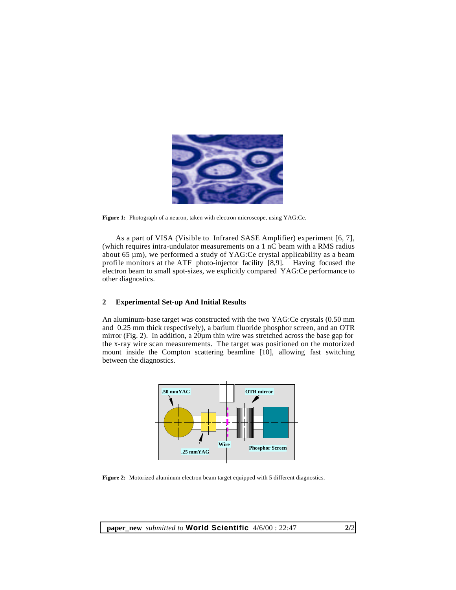

**Figure 1:** Photograph of a neuron, taken with electron microscope, using YAG:Ce.

As a part of VISA (Visible to Infrared SASE Amplifier) experiment [6, 7], (which requires intra-undulator measurements on a 1 nC beam with a RMS radius about 65 µm), we performed a study of YAG:Ce crystal applicability as a beam profile monitors at the ATF photo-injector facility [8,9]. Having focused the electron beam to small spot-sizes, we explicitly compared YAG:Ce performance to other diagnostics.

### **2 Experimental Set-up And Initial Results**

An aluminum-base target was constructed with the two YAG:Ce crystals (0.50 mm and 0.25 mm thick respectively), a barium fluoride phosphor screen, and an OTR mirror (Fig. 2). In addition, a 20 $\mu$ m thin wire was stretched across the base gap for the x-ray wire scan measurements. The target was positioned on the motorized mount inside the Compton scattering beamline [10], allowing fast switching between the diagnostics.



**Figure 2:** Motorized aluminum electron beam target equipped with 5 different diagnostics.

**paper\_new** *submitted to* **World Scientific** 4/6/00 : 22:47 **2/**2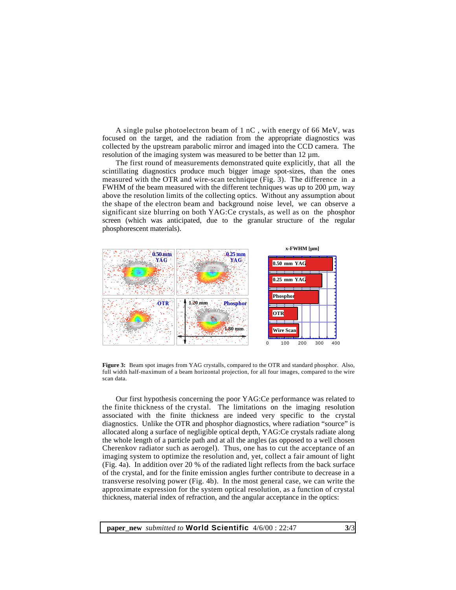A single pulse photoelectron beam of 1 nC , with energy of 66 MeV, was focused on the target, and the radiation from the appropriate diagnostics was collected by the upstream parabolic mirror and imaged into the CCD camera. The resolution of the imaging system was measured to be better than 12  $\mu$ m.

The first round of measurements demonstrated quite explicitly, that all the scintillating diagnostics produce much bigger image spot-sizes, than the ones measured with the OTR and wire-scan technique (Fig. 3). The difference in a FWHM of the beam measured with the different techniques was up to  $200 \mu m$ , way above the resolution limits of the collecting optics. Without any assumption about the shape of the electron beam and background noise level, we can observe a significant size blurring on both YAG:Ce crystals, as well as on the phosphor screen (which was anticipated, due to the granular structure of the regular phosphorescent materials).



**Figure 3:** Beam spot images from YAG crystalls, compared to the OTR and standard phosphor. Also, full width half-maximum of a beam horizontal projection, for all four images, compared to the wire scan data.

Our first hypothesis concerning the poor YAG:Ce performance was related to the finite thickness of the crystal. The limitations on the imaging resolution associated with the finite thickness are indeed very specific to the crystal diagnostics. Unlike the OTR and phosphor diagnostics, where radiation "source" is allocated along a surface of negligible optical depth, YAG:Ce crystals radiate along the whole length of a particle path and at all the angles (as opposed to a well chosen Cherenkov radiator such as aerogel). Thus, one has to cut the acceptance of an imaging system to optimize the resolution and, yet, collect a fair amount of light (Fig. 4a). In addition over 20 % of the radiated light reflects from the back surface of the crystal, and for the finite emission angles further contribute to decrease in a transverse resolving power (Fig. 4b). In the most general case, we can write the approximate expression for the system optical resolution, as a function of crystal thickness, material index of refraction, and the angular acceptance in the optics:

**paper** new *submitted to* **World Scientific**  $4/6/00$  : 22:47 **3/3**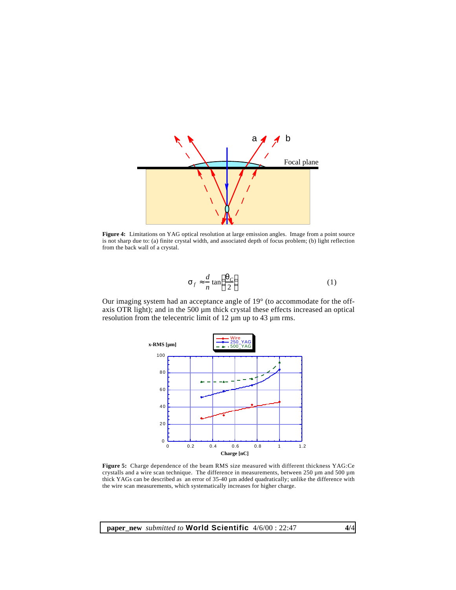

**Figure 4:** Limitations on YAG optical resolution at large emission angles. Image from a point source is not sharp due to: (a) finite crystal width, and associated depth of focus problem; (b) light reflection from the back wall of a crystal.

$$
f \quad \frac{d}{n} \tan \frac{c}{2} \tag{1}
$$

Our imaging system had an acceptance angle of 19° (to accommodate for the offaxis OTR light); and in the 500 µm thick crystal these effects increased an optical resolution from the telecentric limit of  $12 \mu m$  up to  $43 \mu m$  rms.



**Figure 5:** Charge dependence of the beam RMS size measured with different thickness YAG:Ce crystalls and a wire scan technique. The difference in measurements, between 250 µm and 500 µm thick YAGs can be described as an error of 35-40 µm added quadratically; unlike the difference with the wire scan measurements, which systematically increases for higher charge.

**paper\_new** *submitted to* **World Scientific** 4/6/00 : 22:47 **4/**4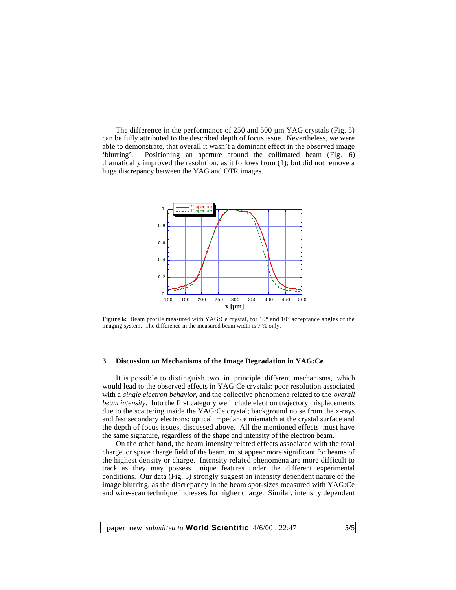The difference in the performance of 250 and 500  $\mu$ m YAG crystals (Fig. 5) can be fully attributed to the described depth of focus issue. Nevertheless, we were able to demonstrate, that overall it wasn't a dominant effect in the observed image 'blurring'. Positioning an aperture around the collimated beam (Fig. 6) dramatically improved the resolution, as it follows from (1); but did not remove a huge discrepancy between the YAG and OTR images.



**Figure 6:** Beam profile measured with YAG:Ce crystal, for 19° and 10° acceptance angles of the imaging system. The difference in the measured beam width is 7 % only.

# **3 Discussion on Mechanisms of the Image Degradation in YAG:Ce**

It is possible to distinguish two in principle different mechanisms, which would lead to the observed effects in YAG:Ce crystals: poor resolution associated with a *single electron behavior*, and the collective phenomena related to the *overall beam intensity*. Into the first category we include electron trajectory misplacements due to the scattering inside the YAG:Ce crystal; background noise from the x-rays and fast secondary electrons; optical impedance mismatch at the crystal surface and the depth of focus issues, discussed above. All the mentioned effects must have the same signature, regardless of the shape and intensity of the electron beam.

On the other hand, the beam intensity related effects associated with the total charge, or space charge field of the beam, must appear more significant for beams of the highest density or charge. Intensity related phenomena are more difficult to track as they may possess unique features under the different experimental conditions. Our data (Fig. 5) strongly suggest an intensity dependent nature of the image blurring, as the discrepancy in the beam spot-sizes measured with YAG:Ce and wire-scan technique increases for higher charge. Similar, intensity dependent

**paper\_new** *submitted to* **World Scientific** 4/6/00 : 22:47 **5/**5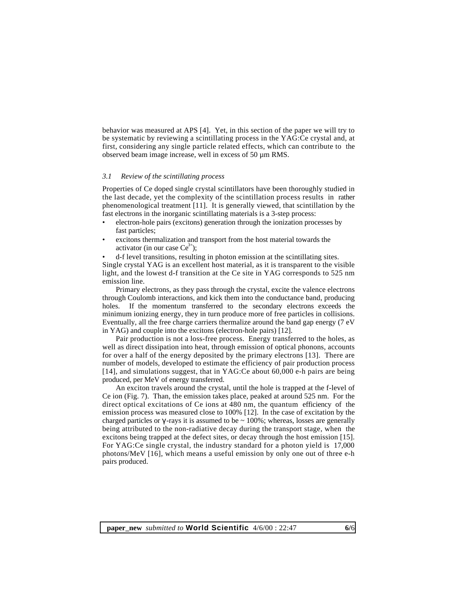behavior was measured at APS [4]. Yet, in this section of the paper we will try to be systematic by reviewing a scintillating process in the YAG:Ce crystal and, at first, considering any single particle related effects, which can contribute to the observed beam image increase, well in excess of 50 µm RMS.

# *3.1 Review of the scintillating process*

Properties of Ce doped single crystal scintillators have been thoroughly studied in the last decade, yet the complexity of the scintillation process results in rather phenomenological treatment [11]. It is generally viewed, that scintillation by the fast electrons in the inorganic scintillating materials is a 3-step process:

- electron-hole pairs (excitons) generation through the ionization processes by fast particles;
- excitons thermalization and transport from the host material towards the activator (in our case  $Ce^{3+}$ ):
- d-f level transitions, resulting in photon emission at the scintillating sites.

Single crystal YAG is an excellent host material, as it is transparent to the visible light, and the lowest d-f transition at the Ce site in YAG corresponds to 525 nm emission line.

Primary electrons, as they pass through the crystal, excite the valence electrons through Coulomb interactions, and kick them into the conductance band, producing holes. If the momentum transferred to the secondary electrons exceeds the minimum ionizing energy, they in turn produce more of free particles in collisions. Eventually, all the free charge carriers thermalize around the band gap energy (7 eV in YAG) and couple into the excitons (electron-hole pairs) [12].

Pair production is not a loss-free process. Energy transferred to the holes, as well as direct dissipation into heat, through emission of optical phonons, accounts for over a half of the energy deposited by the primary electrons [13]. There are number of models, developed to estimate the efficiency of pair production process [14], and simulations suggest, that in YAG:Ce about 60,000 e-h pairs are being produced, per MeV of energy transferred.

An exciton travels around the crystal, until the hole is trapped at the f-level of Ce ion (Fig. 7). Than, the emission takes place, peaked at around 525 nm. For the direct optical excitations of Ce ions at 480 nm, the quantum efficiency of the emission process was measured close to 100% [12]. In the case of excitation by the charged particles or -rays it is assumed to be  $\sim 100\%$ ; whereas, losses are generally being attributed to the non-radiative decay during the transport stage, when the excitons being trapped at the defect sites, or decay through the host emission [15]. For YAG:Ce single crystal, the industry standard for a photon yield is 17,000 photons/MeV [16], which means a useful emission by only one out of three e-h pairs produced.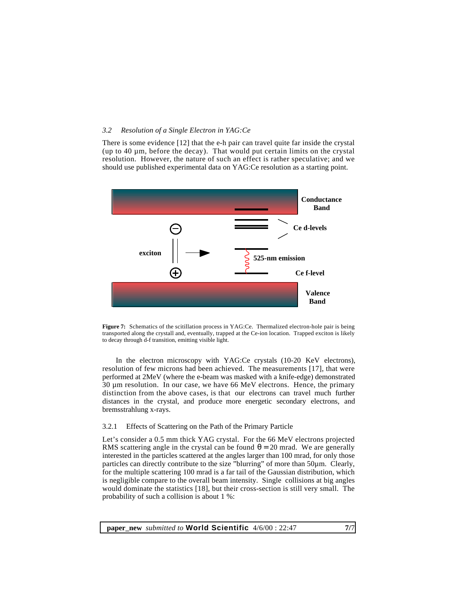#### *3.2 Resolution of a Single Electron in YAG:Ce*

There is some evidence [12] that the e-h pair can travel quite far inside the crystal (up to  $40 \mu m$ , before the decay). That would put certain limits on the crystal resolution. However, the nature of such an effect is rather speculative; and we should use published experimental data on YAG:Ce resolution as a starting point.



**Figure 7:** Schematics of the scitillation process in YAG:Ce. Thermalized electron-hole pair is being transported along the crystall and, eventually, trapped at the Ce-ion location. Trapped exciton is likely to decay through d-f transition, emitting visible light.

In the electron microscopy with YAG:Ce crystals (10-20 KeV electrons), resolution of few microns had been achieved. The measurements [17], that were performed at 2MeV (where the e-beam was masked with a knife-edge) demonstrated 30 µm resolution. In our case, we have 66 MeV electrons. Hence, the primary distinction from the above cases, is that our electrons can travel much further distances in the crystal, and produce more energetic secondary electrons, and bremsstrahlung x-rays.

# 3.2.1 Effects of Scattering on the Path of the Primary Particle

Let's consider a 0.5 mm thick YAG crystal. For the 66 MeV electrons projected RMS scattering angle in the crystal can be found  $= 20$  mrad. We are generally interested in the particles scattered at the angles larger than 100 mrad, for only those particles can directly contribute to the size "blurring" of more than 50µm. Clearly, for the multiple scattering 100 mrad is a far tail of the Gaussian distribution, which is negligible compare to the overall beam intensity. Single collisions at big angles would dominate the statistics [18], but their cross-section is still very small. The probability of such a collision is about 1 %:

**paper\_new** *submitted to* **World Scientific** 4/6/00 : 22:47 **7/**7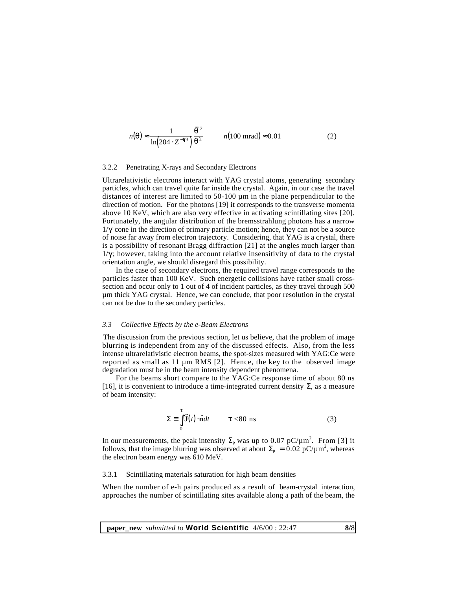$$
n\left(\begin{array}{cc}\n1 & -2 \\
\hline\n\ln(204 \ Z^{-1/3})\n\end{array}\right)^{-2} \qquad n\left(100 \text{ mrad}\right) \quad 0.01\tag{2}
$$

#### 3.2.2 Penetrating X-rays and Secondary Electrons

Ultrarelativistic electrons interact with YAG crystal atoms, generating secondary particles, which can travel quite far inside the crystal. Again, in our case the travel distances of interest are limited to 50-100 µm in the plane perpendicular to the direction of motion. For the photons [19] it corresponds to the transverse momenta above 10 KeV, which are also very effective in activating scintillating sites [20]. Fortunately, the angular distribution of the bremsstrahlung photons has a narrow 1/ cone in the direction of primary particle motion; hence, they can not be a source of noise far away from electron trajectory. Considering, that YAG is a crystal, there is a possibility of resonant Bragg diffraction [21] at the angles much larger than 1/ ; however, taking into the account relative insensitivity of data to the crystal orientation angle, we should disregard this possibility.

In the case of secondary electrons, the required travel range corresponds to the particles faster than 100 KeV. Such energetic collisions have rather small crosssection and occur only to 1 out of 4 of incident particles, as they travel through 500 µm thick YAG crystal. Hence, we can conclude, that poor resolution in the crystal can not be due to the secondary particles.

#### *3.3 Collective Effects by the e-Beam Electrons*

The discussion from the previous section, let us believe, that the problem of image blurring is independent from any of the discussed effects. Also, from the less intense ultrarelativistic electron beams, the spot-sizes measured with YAG:Ce were reported as small as 11 µm RMS [2]. Hence, the key to the observed image degradation must be in the beam intensity dependent phenomena.

For the beams short compare to the YAG:Ce response time of about 80 ns [16], it is convenient to introduce a time-integrated current density , as a measure of beam intensity:

$$
\mathbf{\bar{J}}(t) \hat{\mathbf{n}}dt \qquad \qquad <80 \text{ ns} \tag{3}
$$

In our measurements, the peak intensity  $_p$  was up to 0.07 pC/ $\mu$ m<sup>2</sup>. From [3] it follows, that the image blurring was observed at about  $_{\text{p}}$  =0.02 pC/ $\mu$ m<sup>2</sup>, whereas the electron beam energy was 610 MeV.

#### 3.3.1 Scintillating materials saturation for high beam densities

When the number of e-h pairs produced as a result of beam-crystal interaction, approaches the number of scintillating sites available along a path of the beam, the

**paper\_new** *submitted to* **World Scientific** 4/6/00 : 22:47 **8/**8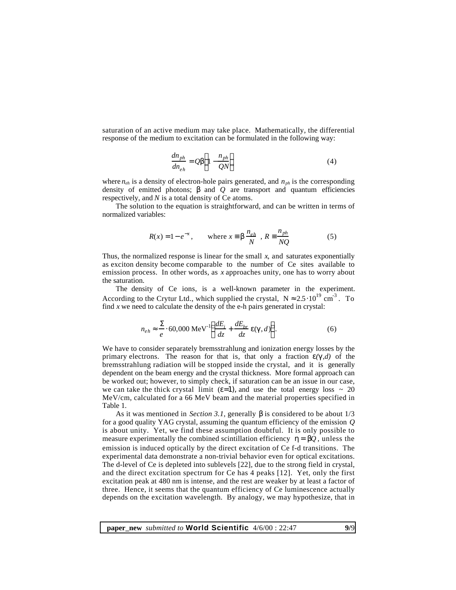saturation of an active medium may take place. Mathematically, the differential response of the medium to excitation can be formulated in the following way:

$$
\frac{dn_{ph}}{dn_{eh}} = Q \quad 1 - \frac{n_{ph}}{QN} \tag{4}
$$

where *neh* is a density of electron-hole pairs generated, and *nph* is the corresponding density of emitted photons; and *Q* are transport and quantum efficiencies respectively, and *N* is a total density of Ce atoms.

The solution to the equation is straightforward, and can be written in terms of normalized variables:

$$
R(x) = 1 - e^{-x}, \qquad \text{where } x \qquad \frac{n_{eh}}{N}, R \qquad \frac{n_{ph}}{NQ} \tag{5}
$$

Thus, the normalized response is linear for the small *x*, and saturates exponentially as exciton density become comparable to the number of Ce sites available to emission process. In other words, as *x* approaches unity, one has to worry about the saturation.

The density of Ce ions, is a well-known parameter in the experiment. According to the Crytur Ltd., which supplied the crystal,  $N = 2.5 \times 10^{19} \text{ cm}^3$ . To find  $x$  we need to calculate the density of the e-h pairs generated in crystal:

$$
n_{eh} = 60,000 \text{ MeV}^{-1} \frac{dE_i}{dz} + \frac{dE_{br}}{dz} \quad (d)
$$

We have to consider separately bremsstrahlung and ionization energy losses by the primary electrons. The reason for that is, that only a fraction *( ,d)* of the bremsstrahlung radiation will be stopped inside the crystal, and it is generally dependent on the beam energy and the crystal thickness. More formal approach can be worked out; however, to simply check, if saturation can be an issue in our case, we can take the thick crystal limit  $(=1)$ , and use the total energy loss  $\sim 20$ MeV/cm, calculated for a 66 MeV beam and the material properties specified in Table 1.

As it was mentioned in *Section 3.1*, generally is considered to be about 1/3 for a good quality YAG crystal, assuming the quantum efficiency of the emission *Q* is about unity. Yet, we find these assumption doubtful. It is only possible to measure experimentally the combined scintillation efficiency  $= Q$ , unless the emission is induced optically by the direct excitation of Ce f-d transitions. The experimental data demonstrate a non-trivial behavior even for optical excitations. The d-level of Ce is depleted into sublevels [22], due to the strong field in crystal, and the direct excitation spectrum for Ce has 4 peaks [12]. Yet, only the first excitation peak at 480 nm is intense, and the rest are weaker by at least a factor of three. Hence, it seems that the quantum efficiency of Ce luminescence actually depends on the excitation wavelength. By analogy, we may hypothesize, that in

**paper\_new** *submitted to* **World Scientific** 4/6/00 : 22:47 **9/**9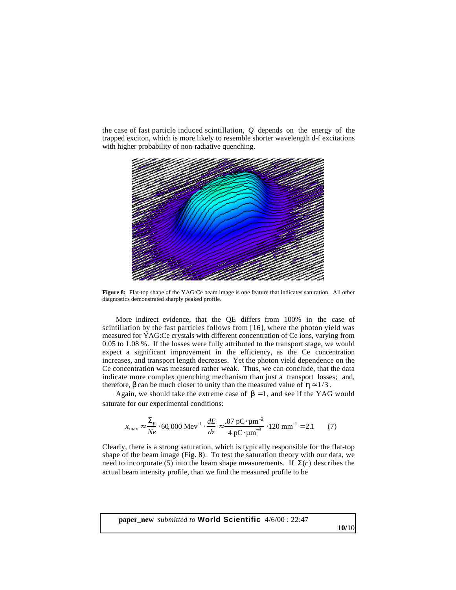the case of fast particle induced scintillation, *Q* depends on the energy of the trapped exciton, which is more likely to resemble shorter wavelength d-f excitations with higher probability of non-radiative quenching.



**Figure 8:** Flat-top shape of the YAG:Ce beam image is one feature that indicates saturation. All other diagnostics demonstrated sharply peaked profile.

More indirect evidence, that the QE differs from 100% in the case of scintillation by the fast particles follows from [16], where the photon yield was measured for YAG:Ce crystals with different concentration of Ce ions, varying from 0.05 to 1.08 %. If the losses were fully attributed to the transport stage, we would expect a significant improvement in the efficiency, as the Ce concentration increases, and transport length decreases. Yet the photon yield dependence on the Ce concentration was measured rather weak. Thus, we can conclude, that the data indicate more complex quenching mechanism than just a transport losses; and, therefore, can be much closer to unity than the measured value of  $1/3$ .

Again, we should take the extreme case of  $=1$ , and see if the YAG would saturate for our experimental conditions:

$$
x_{\text{max}} \frac{p}{Ne}
$$
 60,000 Mev<sup>-1</sup>  $\frac{dE}{dz}$   $\frac{.07 \text{ pC } \mu \text{m}^{-2}}{4 \text{ pC } \mu \text{m}^{-3}}$  120 mm<sup>-1</sup> = 2.1 (7)

Clearly, there is a strong saturation, which is typically responsible for the flat-top shape of the beam image (Fig. 8). To test the saturation theory with our data, we need to incorporate (5) into the beam shape measurements. If (*r*) describes the actual beam intensity profile, than we find the measured profile to be

**paper\_new** *submitted to* **World Scientific** 4/6/00 : 22:47

**10/**10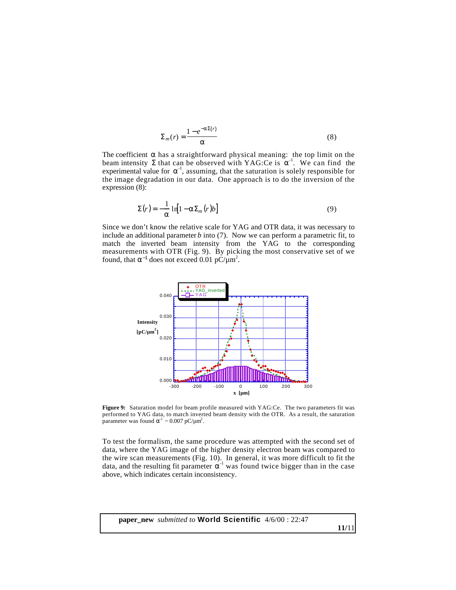$$
m(r) = \frac{1 - e^{--(r)}}{r}
$$
 (8)

The coefficient has a straightforward physical meaning: the top limit on the beam intensity that can be observed with YAG:Ce is  $\overline{a}$ <sup>1</sup>. We can find the experimental value for  $\frac{1}{1}$ , assuming, that the saturation is solely responsible for the image degradation in our data. One approach is to do the inversion of the expression (8):

$$
(r) = -\frac{1}{m} \ln[1 - \frac{m}{m}(r)b]
$$
\n(9)

Since we don't know the relative scale for YAG and OTR data, it was necessary to include an additional parameter *b* into (7). Now we can perform a parametric fit, to match the inverted beam intensity from the YAG to the corresponding measurements with OTR (Fig. 9). By picking the most conservative set of we found, that  $^{-1}$  does not exceed 0.01 pC/ $\mu$ m<sup>2</sup>.



**Figure 9:** Saturation model for beam profile measured with YAG:Ce. The two parameters fit was performed to YAG data, to match inverted beam density with the OTR. As a result, the saturation parameter was found  $^{-1} \sim 0.007 \text{ pC/\mu m}^2$ .

To test the formalism, the same procedure was attempted with the second set of data, where the YAG image of the higher density electron beam was compared to the wire scan measurements (Fig. 10). In general, it was more difficult to fit the data, and the resulting fit parameter  $\frac{1}{1}$  was found twice bigger than in the case above, which indicates certain inconsistency.

**paper\_new** *submitted to* **World Scientific** 4/6/00 : 22:47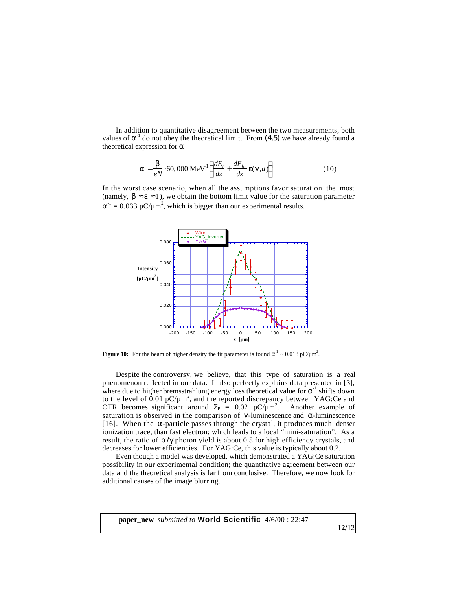In addition to quantitative disagreement between the two measurements, both values of  $^{-1}$  do not obey the theoretical limit. From  $(4,5)$  we have already found a theoretical expression for

$$
= \frac{1}{eN} 60,000 \text{ MeV}^1 \frac{dE_i}{dz} + \frac{dE_{br}}{dz} \quad (A)
$$
 (10)

In the worst case scenario, when all the assumptions favor saturation the most (namely, 1), we obtain the bottom limit value for the saturation parameter  $T^{-1}$  = 0.033 pC/ $\mu$ m<sup>2</sup>, which is bigger than our experimental results.



**Figure 10:** For the beam of higher density the fit parameter is found  $^{-1} \sim 0.018 \text{ pC/\mu m}^2$ .

Despite the controversy, we believe, that this type of saturation is a real phenomenon reflected in our data. It also perfectly explains data presented in [3], where due to higher bremsstrahlung energy loss theoretical value for  $^{-1}$  shifts down to the level of  $0.01$  pC/ $\mu$ m<sup>2</sup>, and the reported discrepancy between YAG:Ce and OTR becomes significant around  $P = 0.02$  pC/ $\mu$ m<sup>2</sup>. Another example of saturation is observed in the comparison of -luminescence and -luminescence [16]. When the -particle passes through the crystal, it produces much denser ionization trace, than fast electron; which leads to a local "mini-saturation". As a result, the ratio of  $\ell$  photon yield is about 0.5 for high efficiency crystals, and decreases for lower efficiencies. For YAG:Ce, this value is typically about 0.2.

Even though a model was developed, which demonstrated a YAG:Ce saturation possibility in our experimental condition; the quantitative agreement between our data and the theoretical analysis is far from conclusive. Therefore, we now look for additional causes of the image blurring.

**paper\_new** *submitted to* **World Scientific** 4/6/00 : 22:47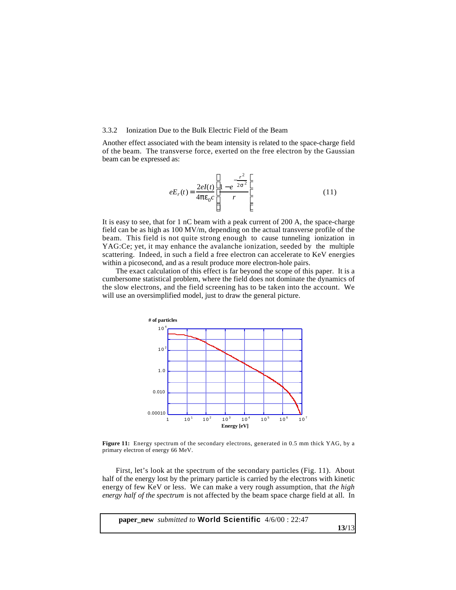#### 3.3.2 Ionization Due to the Bulk Electric Field of the Beam

Another effect associated with the beam intensity is related to the space-charge field of the beam. The transverse force, exerted on the free electron by the Gaussian beam can be expressed as:

$$
eE_r(t) = \frac{2eI(t)}{4} \frac{1 - e^{-\frac{r^2}{2}}}{r}
$$
 (11)

It is easy to see, that for 1 nC beam with a peak current of 200 A, the space-charge field can be as high as 100 MV/m, depending on the actual transverse profile of the beam. This field is not quite strong enough to cause tunneling ionization in YAG:Ce; yet, it may enhance the avalanche ionization, seeded by the multiple scattering. Indeed, in such a field a free electron can accelerate to KeV energies within a picosecond, and as a result produce more electron-hole pairs.

The exact calculation of this effect is far beyond the scope of this paper. It is a cumbersome statistical problem, where the field does not dominate the dynamics of the slow electrons, and the field screening has to be taken into the account. We will use an oversimplified model, just to draw the general picture.



**Figure 11:** Energy spectrum of the secondary electrons, generated in 0.5 mm thick YAG, by a primary electron of energy 66 MeV.

First, let's look at the spectrum of the secondary particles (Fig. 11). About half of the energy lost by the primary particle is carried by the electrons with kinetic energy of few KeV or less. We can make a very rough assumption, that *the high energy half of the spectrum* is not affected by the beam space charge field at all. In

**paper\_new** *submitted to* **World Scientific** 4/6/00 : 22:47 **13/**13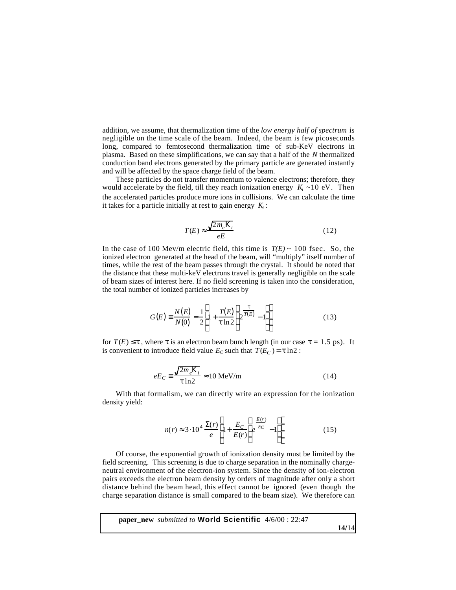addition, we assume, that thermalization time of the *low energy half of spectrum* is negligible on the time scale of the beam. Indeed, the beam is few picoseconds long, compared to femtosecond thermalization time of sub-KeV electrons in plasma. Based on these simplifications, we can say that a half of the *N* thermalized conduction band electrons generated by the primary particle are generated instantly and will be affected by the space charge field of the beam.

These particles do not transfer momentum to valence electrons; therefore, they would accelerate by the field, till they reach ionization energy  $K_i \sim 10 \text{ eV}$ . Then the accelerated particles produce more ions in collisions. We can calculate the time it takes for a particle initially at rest to gain energy *K<sup>i</sup>* :

$$
T(E) \quad \frac{\sqrt{2m_{e-i}}}{eE} \tag{12}
$$

In the case of 100 Mev/m electric field, this time is  $T(E) \sim 100$  fsec. So, the ionized electron generated at the head of the beam, will "multiply" itself number of times, while the rest of the beam passes through the crystal. It should be noted that the distance that these multi-keV electrons travel is generally negligible on the scale of beam sizes of interest here. If no field screening is taken into the consideration, the total number of ionized particles increases by

$$
G(E) \quad \frac{N(E)}{N(0)} = \frac{1}{2} \left(1 + \frac{T(E)}{\ln 2} \right) 2^{\overline{T(E)}} - 1 \tag{13}
$$

for  $T(E)$ , where is an electron beam bunch length (in our case = 1.5 ps). It is convenient to introduce field value  $E_C$  such that  $T(E_C) = \ln 2$ :

$$
eE_C \quad \frac{\sqrt{2m_{e-i}}}{\ln 2} \quad 10 \text{ MeV/m} \tag{14}
$$

With that formalism, we can directly write an expression for the ionization density yield:

$$
n(r) \quad 3 \ 10^4 \frac{(r)}{e} \ 1 + \frac{E_C}{E(r)} \ e^{\frac{E(r)}{E_C}} -1 \tag{15}
$$

Of course, the exponential growth of ionization density must be limited by the field screening. This screening is due to charge separation in the nominally chargeneutral environment of the electron-ion system. Since the density of ion-electron pairs exceeds the electron beam density by orders of magnitude after only a short distance behind the beam head, this effect cannot be ignored (even though the charge separation distance is small compared to the beam size). We therefore can

**paper\_new** *submitted to* **World Scientific** 4/6/00 : 22:47 **14/**14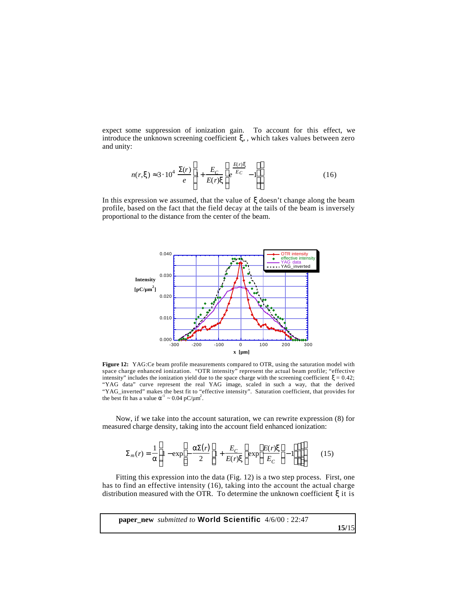expect some suppression of ionization gain. To account for this effect, we introduce the unknown screening coefficient  $\mu$ , which takes values between zero and unity:

$$
n(r, ) \quad 3 \quad 10^4 \frac{(r)}{e} \quad 1 + \frac{E_C}{E(r)} \quad e^{\frac{E(r)}{E_C}} - 1 \tag{16}
$$

In this expression we assumed, that the value of doesn't change along the beam profile, based on the fact that the field decay at the tails of the beam is inversely proportional to the distance from the center of the beam.



**Figure 12:** YAG:Ce beam profile measurements compared to OTR, using the saturation model with space charge enhanced ionization. "OTR intensity" represent the actual beam profile; "effective intensity" includes the ionization yield due to the space charge with the screening coefficient  $= 0.42$ ; "YAG data" curve represent the real YAG image, scaled in such a way, that the derived "YAG\_inverted" makes the best fit to "effective intensity". Saturation coefficient, that provides for the best fit has a value  $^{-1} \sim 0.04$  pC/ $\mu$ m<sup>2</sup>.

Now, if we take into the account saturation, we can rewrite expression (8) for measured charge density, taking into the account field enhanced ionization:

$$
_{m}(r) = \frac{1}{r} \left(1 - \exp(-\frac{(r)}{2})\right) + \frac{E_{C}}{E(r)} \exp(\frac{E(r)}{E_{C}}) - 1
$$
 (15)

Fitting this expression into the data (Fig. 12) is a two step process. First, one has to find an effective intensity (16), taking into the account the actual charge distribution measured with the OTR. To determine the unknown coefficient it is

**paper\_new** *submitted to* **World Scientific** 4/6/00 : 22:47 **15/**15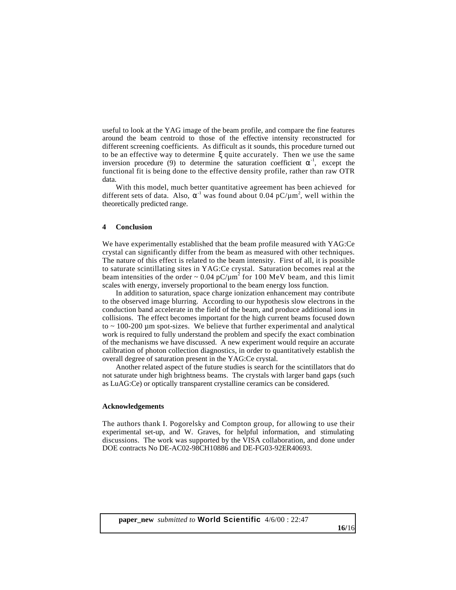useful to look at the YAG image of the beam profile, and compare the fine features around the beam centroid to those of the effective intensity reconstructed for different screening coefficients. As difficult as it sounds, this procedure turned out to be an effective way to determine quite accurately. Then we use the same inversion procedure  $(9)$  to determine the saturation coefficient  $\frac{1}{1}$ , except the functional fit is being done to the effective density profile, rather than raw OTR data.

With this model, much better quantitative agreement has been achieved for different sets of data. Also,  $^{-1}$  was found about 0.04 pC/ $\mu$ m<sup>2</sup>, well within the theoretically predicted range.

# **4 Conclusion**

We have experimentally established that the beam profile measured with YAG:Ce crystal can significantly differ from the beam as measured with other techniques. The nature of this effect is related to the beam intensity. First of all, it is possible to saturate scintillating sites in YAG:Ce crystal. Saturation becomes real at the beam intensities of the order  $\sim 0.04$  pC/ $\mu$ m<sup>2</sup> for 100 MeV beam, and this limit scales with energy, inversely proportional to the beam energy loss function.

In addition to saturation, space charge ionization enhancement may contribute to the observed image blurring. According to our hypothesis slow electrons in the conduction band accelerate in the field of the beam, and produce additional ions in collisions. The effect becomes important for the high current beams focused down to  $\sim$  100-200  $\mu$ m spot-sizes. We believe that further experimental and analytical work is required to fully understand the problem and specify the exact combination of the mechanisms we have discussed. A new experiment would require an accurate calibration of photon collection diagnostics, in order to quantitatively establish the overall degree of saturation present in the YAG:Ce crystal.

Another related aspect of the future studies is search for the scintillators that do not saturate under high brightness beams. The crystals with larger band gaps (such as LuAG:Ce) or optically transparent crystalline ceramics can be considered.

# **Acknowledgements**

The authors thank I. Pogorelsky and Compton group, for allowing to use their experimental set-up, and W. Graves, for helpful information, and stimulating discussions. The work was supported by the VISA collaboration, and done under DOE contracts No DE-AC02-98CH10886 and DE-FG03-92ER40693.